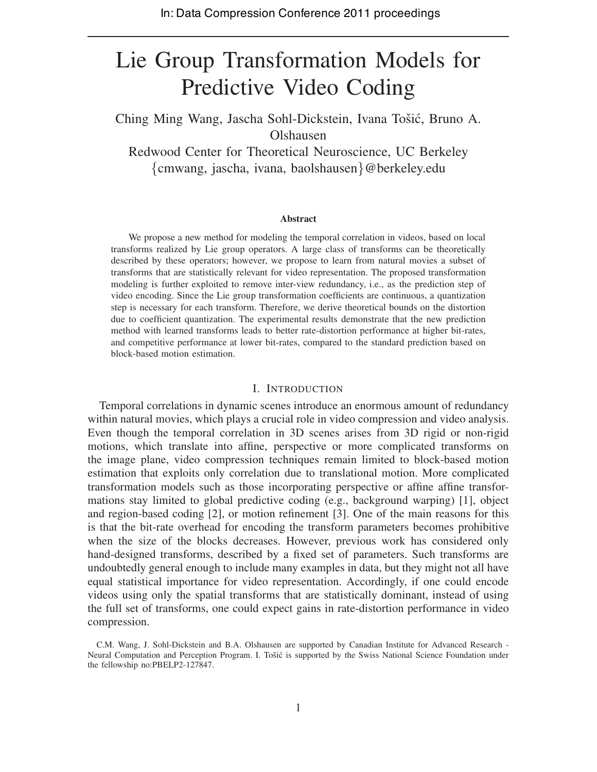# Lie Group Transformation Models for Predictive Video Coding

Ching Ming Wang, Jascha Sohl-Dickstein, Ivana Tošić, Bruno A. Olshausen

Redwood Center for Theoretical Neuroscience, UC Berkeley {cmwang, jascha, ivana, baolshausen}@berkeley.edu

#### **Abstract**

We propose a new method for modeling the temporal correlation in videos, based on local transforms realized by Lie group operators. A large class of transforms can be theoretically described by these operators; however, we propose to learn from natural movies a subset of transforms that are statistically relevant for video representation. The proposed transformation modeling is further exploited to remove inter-view redundancy, i.e., as the prediction step of video encoding. Since the Lie group transformation coefficients are continuous, a quantization step is necessary for each transform. Therefore, we derive theoretical bounds on the distortion due to coefficient quantization. The experimental results demonstrate that the new prediction method with learned transforms leads to better rate-distortion performance at higher bit-rates, and competitive performance at lower bit-rates, compared to the standard prediction based on block-based motion estimation.

## I. INTRODUCTION

Temporal correlations in dynamic scenes introduce an enormous amount of redundancy within natural movies, which plays a crucial role in video compression and video analysis. Even though the temporal correlation in 3D scenes arises from 3D rigid or non-rigid motions, which translate into affine, perspective or more complicated transforms on the image plane, video compression techniques remain limited to block-based motion estimation that exploits only correlation due to translational motion. More complicated transformation models such as those incorporating perspective or affine affine transformations stay limited to global predictive coding (e.g., background warping) [1], object and region-based coding [2], or motion refinement [3]. One of the main reasons for this is that the bit-rate overhead for encoding the transform parameters becomes prohibitive when the size of the blocks decreases. However, previous work has considered only hand-designed transforms, described by a fixed set of parameters. Such transforms are undoubtedly general enough to include many examples in data, but they might not all have equal statistical importance for video representation. Accordingly, if one could encode videos using only the spatial transforms that are statistically dominant, instead of using the full set of transforms, one could expect gains in rate-distortion performance in video compression.

C.M. Wang, J. Sohl-Dickstein and B.A. Olshausen are supported by Canadian Institute for Advanced Research - Neural Computation and Perception Program. I. Tošić is supported by the Swiss National Science Foundation under the fellowship no:PBELP2-127847.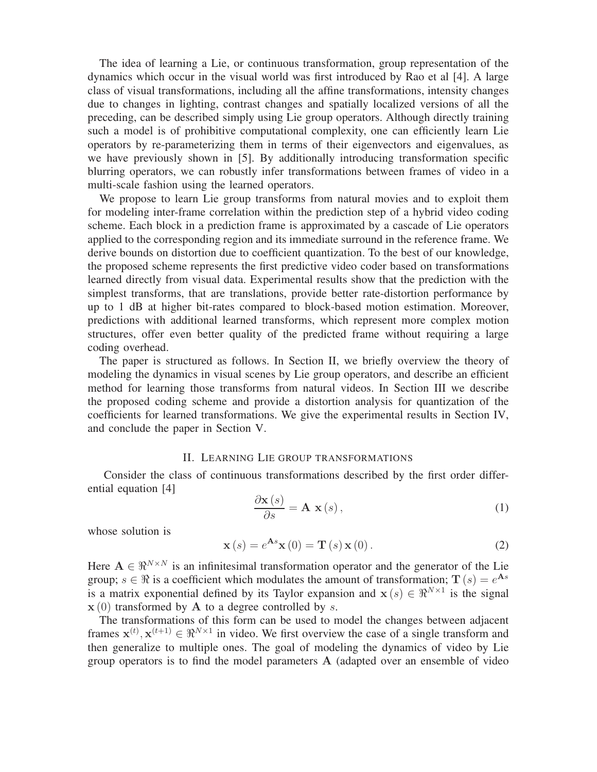The idea of learning a Lie, or continuous transformation, group representation of the dynamics which occur in the visual world was first introduced by Rao et al [4]. A large class of visual transformations, including all the affine transformations, intensity changes due to changes in lighting, contrast changes and spatially localized versions of all the preceding, can be described simply using Lie group operators. Although directly training such a model is of prohibitive computational complexity, one can efficiently learn Lie operators by re-parameterizing them in terms of their eigenvectors and eigenvalues, as we have previously shown in [5]. By additionally introducing transformation specific blurring operators, we can robustly infer transformations between frames of video in a multi-scale fashion using the learned operators.

We propose to learn Lie group transforms from natural movies and to exploit them for modeling inter-frame correlation within the prediction step of a hybrid video coding scheme. Each block in a prediction frame is approximated by a cascade of Lie operators applied to the corresponding region and its immediate surround in the reference frame. We derive bounds on distortion due to coefficient quantization. To the best of our knowledge, the proposed scheme represents the first predictive video coder based on transformations learned directly from visual data. Experimental results show that the prediction with the simplest transforms, that are translations, provide better rate-distortion performance by up to 1 dB at higher bit-rates compared to block-based motion estimation. Moreover, predictions with additional learned transforms, which represent more complex motion structures, offer even better quality of the predicted frame without requiring a large coding overhead.

The paper is structured as follows. In Section II, we briefly overview the theory of modeling the dynamics in visual scenes by Lie group operators, and describe an efficient method for learning those transforms from natural videos. In Section III we describe the proposed coding scheme and provide a distortion analysis for quantization of the coefficients for learned transformations. We give the experimental results in Section IV, and conclude the paper in Section V.

## II. LEARNING LIE GROUP TRANSFORMATIONS

Consider the class of continuous transformations described by the first order differential equation [4]

$$
\frac{\partial \mathbf{x}(s)}{\partial s} = \mathbf{A} \mathbf{x}(s),\tag{1}
$$

whose solution is

$$
\mathbf{x}(s) = e^{\mathbf{A}s}\mathbf{x}(0) = \mathbf{T}(s)\mathbf{x}(0).
$$
 (2)

Here  $A \in \mathbb{R}^{N \times N}$  is an infinitesimal transformation operator and the generator of the Lie group;  $s \in \mathcal{R}$  is a coefficient which modulates the amount of transformation;  $T(s) = e^{As}$ is a matrix exponential defined by its Taylor expansion and  $x(s) \in \mathbb{R}^{N \times 1}$  is the signal  $x(0)$  transformed by A to a degree controlled by s.

The transformations of this form can be used to model the changes between adjacent frames  $\mathbf{x}^{(t)}, \mathbf{x}^{(t+1)} \in \Re^{N \times 1}$  in video. We first overview the case of a single transform and then generalize to multiple ones. The goal of modeling the dynamics of video by Lie group operators is to find the model parameters A (adapted over an ensemble of video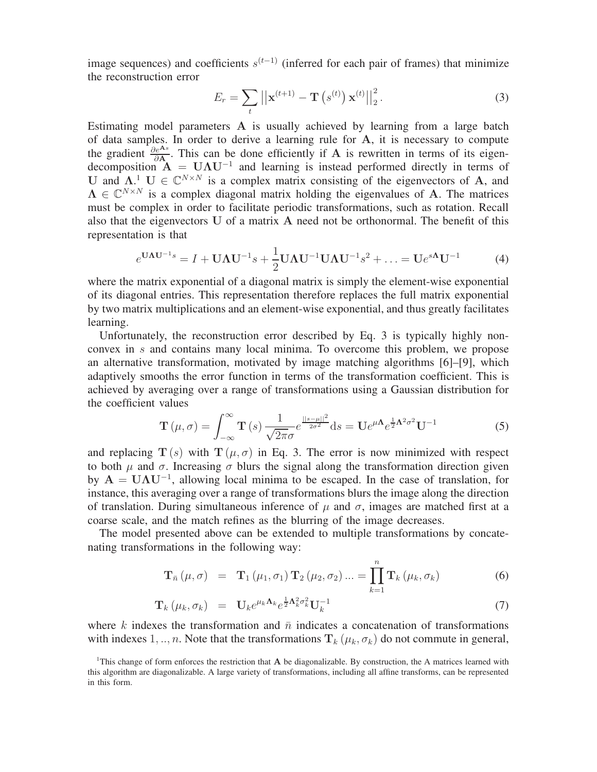image sequences) and coefficients  $s^{(t-1)}$  (inferred for each pair of frames) that minimize the reconstruction error

$$
E_r = \sum_{t} ||\mathbf{x}^{(t+1)} - \mathbf{T}(s^{(t)}) \mathbf{x}^{(t)}||_2^2.
$$
 (3)

Estimating model parameters A is usually achieved by learning from a large batch of data samples. In order to derive a learning rule for A, it is necessary to compute the gradient  $\frac{\partial e^{As}}{\partial A}$ . This can be done efficiently if A is rewritten in terms of its eigendecomposition  $\mathbf{A} = \mathbf{U} \mathbf{\Lambda} \mathbf{U}^{-1}$  and learning is instead performed directly in terms of U and  $\Lambda$ <sup>1</sup>. U  $\in \mathbb{C}^{N \times N}$  is a complex matrix consisting of the eigenvectors of A, and  $\Lambda \in \mathbb{C}^{N \times N}$  is a complex diagonal matrix holding the eigenvalues of A. The matrices must be complex in order to facilitate periodic transformations, such as rotation. Recall also that the eigenvectors U of a matrix A need not be orthonormal. The benefit of this representation is that

$$
e^{\mathbf{U}\mathbf{\Lambda}\mathbf{U}^{-1}s} = I + \mathbf{U}\mathbf{\Lambda}\mathbf{U}^{-1}s + \frac{1}{2}\mathbf{U}\mathbf{\Lambda}\mathbf{U}^{-1}\mathbf{U}\mathbf{\Lambda}\mathbf{U}^{-1}s^2 + \dots = \mathbf{U}e^{s\mathbf{\Lambda}}\mathbf{U}^{-1}
$$
(4)

where the matrix exponential of a diagonal matrix is simply the element-wise exponential of its diagonal entries. This representation therefore replaces the full matrix exponential by two matrix multiplications and an element-wise exponential, and thus greatly facilitates learning.

Unfortunately, the reconstruction error described by Eq. 3 is typically highly nonconvex in s and contains many local minima. To overcome this problem, we propose an alternative transformation, motivated by image matching algorithms [6]–[9], which adaptively smooths the error function in terms of the transformation coefficient. This is achieved by averaging over a range of transformations using a Gaussian distribution for the coefficient values

$$
\mathbf{T}\left(\mu,\sigma\right) = \int_{-\infty}^{\infty} \mathbf{T}\left(s\right) \frac{1}{\sqrt{2\pi}\sigma} e^{\frac{||s-\mu||^2}{2\sigma^2}} ds = \mathbf{U} e^{\mu \mathbf{\Lambda}} e^{\frac{1}{2}\mathbf{\Lambda}^2 \sigma^2} \mathbf{U}^{-1}
$$
(5)

and replacing  $T(s)$  with  $T(\mu, \sigma)$  in Eq. 3. The error is now minimized with respect to both  $\mu$  and  $\sigma$ . Increasing  $\sigma$  blurs the signal along the transformation direction given by  $A = U\Lambda U^{-1}$ , allowing local minima to be escaped. In the case of translation, for instance, this averaging over a range of transformations blurs the image along the direction of translation. During simultaneous inference of  $\mu$  and  $\sigma$ , images are matched first at a coarse scale, and the match refines as the blurring of the image decreases.

The model presented above can be extended to multiple transformations by concatenating transformations in the following way:

$$
\mathbf{T}_{\bar{n}}\left(\mu,\sigma\right) = \mathbf{T}_1\left(\mu_1,\sigma_1\right) \mathbf{T}_2\left(\mu_2,\sigma_2\right) \dots = \prod_{k=1}^n \mathbf{T}_k\left(\mu_k,\sigma_k\right) \tag{6}
$$

$$
\mathbf{T}_{k} \left( \mu_{k}, \sigma_{k} \right) = \mathbf{U}_{k} e^{\mu_{k} \mathbf{\Lambda}_{k}} e^{\frac{1}{2} \mathbf{\Lambda}_{k}^{2} \sigma_{k}^{2}} \mathbf{U}_{k}^{-1}
$$
\n(7)

where k indexes the transformation and  $\bar{n}$  indicates a concatenation of transformations with indexes 1, .., *n*. Note that the transformations  $T_k(\mu_k, \sigma_k)$  do not commute in general,

<sup>&</sup>lt;sup>1</sup>This change of form enforces the restriction that  $A$  be diagonalizable. By construction, the  $A$  matrices learned with this algorithm are diagonalizable. A large variety of transformations, including all affine transforms, can be represented in this form.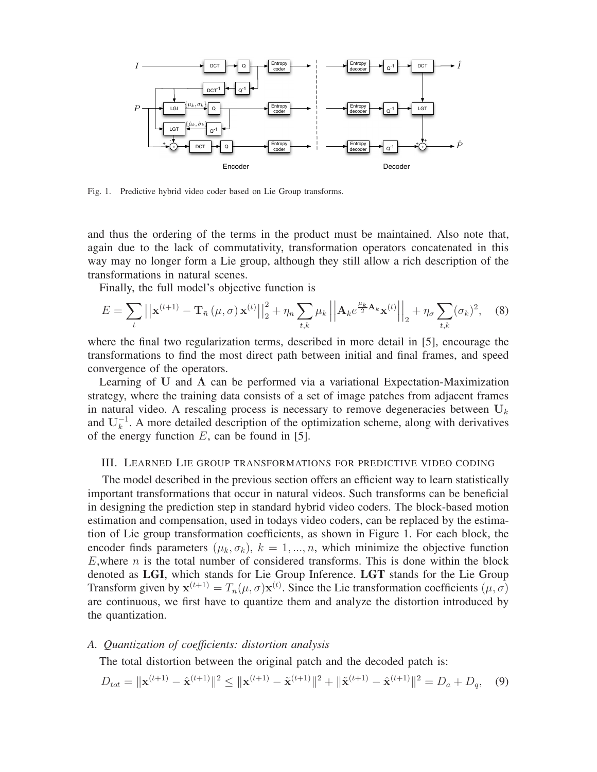

Fig. 1. Predictive hybrid video coder based on Lie Group transforms.

and thus the ordering of the terms in the product must be maintained. Also note that, again due to the lack of commutativity, transformation operators concatenated in this way may no longer form a Lie group, although they still allow a rich description of the transformations in natural scenes.

Finally, the full model's objective function is

$$
E = \sum_{t} \left| \left| \mathbf{x}^{(t+1)} - \mathbf{T}_{\bar{n}} \left( \mu, \sigma \right) \mathbf{x}^{(t)} \right| \right|_{2}^{2} + \eta_{n} \sum_{t,k} \mu_{k} \left| \left| \mathbf{A}_{k} e^{\frac{\mu_{k}}{2} \mathbf{A}_{k}} \mathbf{x}^{(t)} \right| \right|_{2} + \eta_{\sigma} \sum_{t,k} (\sigma_{k})^{2}, \quad (8)
$$

where the final two regularization terms, described in more detail in [5], encourage the transformations to find the most direct path between initial and final frames, and speed convergence of the operators.

Learning of U and  $\Lambda$  can be performed via a variational Expectation-Maximization strategy, where the training data consists of a set of image patches from adjacent frames in natural video. A rescaling process is necessary to remove degeneracies between  $U_k$ and  $U_k^{-1}$ . A more detailed description of the optimization scheme, along with derivatives of the energy function  $E$ , can be found in [5].

## III. LEARNED LIE GROUP TRANSFORMATIONS FOR PREDICTIVE VIDEO CODING

The model described in the previous section offers an efficient way to learn statistically important transformations that occur in natural videos. Such transforms can be beneficial in designing the prediction step in standard hybrid video coders. The block-based motion estimation and compensation, used in todays video coders, can be replaced by the estimation of Lie group transformation coefficients, as shown in Figure 1. For each block, the encoder finds parameters  $(\mu_k, \sigma_k)$ ,  $k = 1, ..., n$ , which minimize the objective function  $E$ , where  $n$  is the total number of considered transforms. This is done within the block denoted as **LGI**, which stands for Lie Group Inference. **LGT** stands for the Lie Group Transform given by  $\mathbf{x}^{(t+1)} = T_{\bar{n}}(\mu, \sigma) \mathbf{x}^{(t)}$ . Since the Lie transformation coefficients  $(\mu, \sigma)$ are continuous, we first have to quantize them and analyze the distortion introduced by the quantization.

## *A. Quantization of coefficients: distortion analysis*

The total distortion between the original patch and the decoded patch is:

$$
D_{tot} = \|\mathbf{x}^{(t+1)} - \hat{\mathbf{x}}^{(t+1)}\|^2 \le \|\mathbf{x}^{(t+1)} - \tilde{\mathbf{x}}^{(t+1)}\|^2 + \|\tilde{\mathbf{x}}^{(t+1)} - \hat{\mathbf{x}}^{(t+1)}\|^2 = D_a + D_q, \quad (9)
$$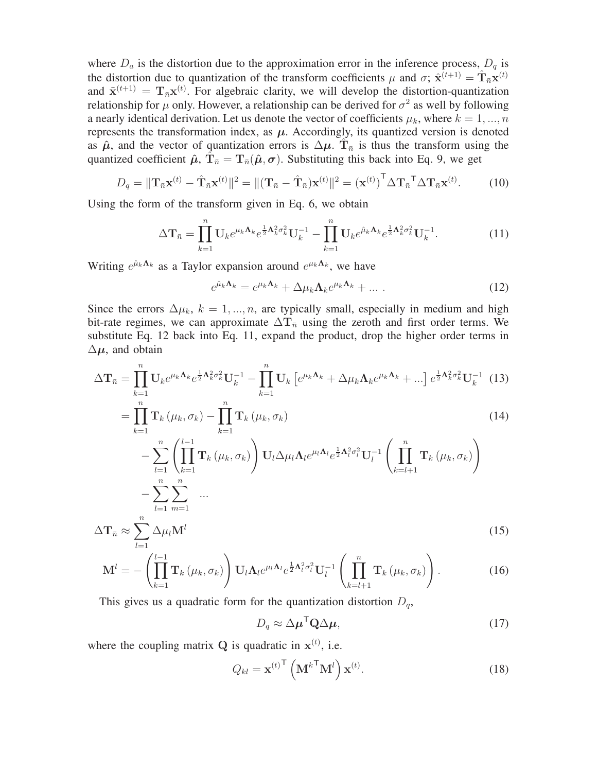where  $D_a$  is the distortion due to the approximation error in the inference process,  $D_q$  is the distortion due to quantization of the transform coefficients  $\mu$  and  $\sigma$ ;  $\hat{\mathbf{x}}^{(t+1)} = \hat{\mathbf{T}}_{\bar{n}} \mathbf{x}^{(t)}$ and  $\tilde{\mathbf{x}}^{(t+1)} = \mathbf{T}_{\bar{n}} \mathbf{x}^{(t)}$ . For algebraic clarity, we will develop the distortion-quantization relationship for  $\mu$  only. However, a relationship can be derived for  $\sigma^2$  as well by following a nearly identical derivation. Let us denote the vector of coefficients  $\mu_k$ , where  $k = 1, ..., n$ represents the transformation index, as  $\mu$ . Accordingly, its quantized version is denoted as  $\hat{\mu}$ , and the vector of quantization errors is  $\Delta \mu$ . T<sub> $\bar{n}$ </sub> is thus the transform using the quantized coefficient  $\hat{\mu}$ ,  $T_{\bar{n}} = T_{\bar{n}}(\hat{\mu}, \sigma)$ . Substituting this back into Eq. 9, we get

$$
D_q = \|\mathbf{T}_{\bar{n}}\mathbf{x}^{(t)} - \hat{\mathbf{T}}_{\bar{n}}\mathbf{x}^{(t)}\|^2 = \|(\mathbf{T}_{\bar{n}} - \hat{\mathbf{T}}_{\bar{n}})\mathbf{x}^{(t)}\|^2 = (\mathbf{x}^{(t)})^{\mathsf{T}}\Delta \mathbf{T}_{\bar{n}}^{\mathsf{T}}\Delta \mathbf{T}_{\bar{n}}\mathbf{x}^{(t)}.
$$
 (10)

Using the form of the transform given in Eq. 6, we obtain

$$
\Delta \mathbf{T}_{\bar{n}} = \prod_{k=1}^{n} \mathbf{U}_{k} e^{\mu_{k} \mathbf{\Lambda}_{k}} e^{\frac{1}{2} \mathbf{\Lambda}_{k}^{2} \sigma_{k}^{2}} \mathbf{U}_{k}^{-1} - \prod_{k=1}^{n} \mathbf{U}_{k} e^{\hat{\mu}_{k} \mathbf{\Lambda}_{k}} e^{\frac{1}{2} \mathbf{\Lambda}_{k}^{2} \sigma_{k}^{2}} \mathbf{U}_{k}^{-1}.
$$
 (11)

Writing  $e^{\hat{\mu}_k \Lambda_k}$  as a Taylor expansion around  $e^{\mu_k \Lambda_k}$ , we have

$$
e^{\hat{\mu}_k \mathbf{\Lambda}_k} = e^{\mu_k \mathbf{\Lambda}_k} + \Delta \mu_k \mathbf{\Lambda}_k e^{\mu_k \mathbf{\Lambda}_k} + \dots \tag{12}
$$

Since the errors  $\Delta \mu_k$ ,  $k = 1, ..., n$ , are typically small, especially in medium and high bit-rate regimes, we can approximate  $\Delta T_{\bar{n}}$  using the zeroth and first order terms. We substitute Eq. 12 back into Eq. 11, expand the product, drop the higher order terms in  $\Delta \mu$ , and obtain

$$
\Delta \mathbf{T}_{\bar{n}} = \prod_{k=1}^{n} \mathbf{U}_{k} e^{\mu_{k} \mathbf{\Lambda}_{k}} e^{\frac{1}{2} \mathbf{\Lambda}_{k}^{2} \sigma_{k}^{2}} \mathbf{U}_{k}^{-1} - \prod_{k=1}^{n} \mathbf{U}_{k} \left[ e^{\mu_{k} \mathbf{\Lambda}_{k}} + \Delta \mu_{k} \mathbf{\Lambda}_{k} e^{\mu_{k} \mathbf{\Lambda}_{k}} + \ldots \right] e^{\frac{1}{2} \mathbf{\Lambda}_{k}^{2} \sigma_{k}^{2}} \mathbf{U}_{k}^{-1} \tag{13}
$$

$$
=\prod_{k=1}^{n} \mathbf{T}_{k} \left(\mu_{k}, \sigma_{k}\right)-\prod_{k=1}^{n} \mathbf{T}_{k} \left(\mu_{k}, \sigma_{k}\right) \tag{14}
$$

$$
- \sum_{l=1}^{n} \left( \prod_{k=1}^{l-1} \mathbf{T}_{k} \left( \mu_{k}, \sigma_{k} \right) \right) \mathbf{U}_{l} \Delta \mu_{l} \mathbf{\Lambda}_{l} e^{\mu_{l} \mathbf{\Lambda}_{l}} e^{\frac{1}{2} \mathbf{\Lambda}_{l}^{2} \sigma_{l}^{2}} \mathbf{U}_{l}^{-1} \left( \prod_{k=l+1}^{n} \mathbf{T}_{k} \left( \mu_{k}, \sigma_{k} \right) \right) - \sum_{l=1}^{n} \sum_{m=1}^{n} \dots
$$
  

$$
\Delta \mathbf{T}_{\bar{n}} \approx \sum_{l=1}^{n} \Delta \mu_{l} \mathbf{M}^{l}
$$
 (15)

$$
\mathbf{M}^{l} = -\left(\prod_{k=1}^{l-1} \mathbf{T}_{k}\left(\mu_{k}, \sigma_{k}\right)\right) \mathbf{U}_{l} \mathbf{\Lambda}_{l} e^{\mu_{l} \mathbf{\Lambda}_{l}} e^{\frac{1}{2} \mathbf{\Lambda}_{l}^{2} \sigma_{l}^{2}} \mathbf{U}_{l}^{-1} \left(\prod_{k=l+1}^{n} \mathbf{T}_{k}\left(\mu_{k}, \sigma_{k}\right)\right).
$$
 (16)

This gives us a quadratic form for the quantization distortion  $D_q$ ,

$$
D_q \approx \Delta \mu^{\mathsf{T}} \mathbf{Q} \Delta \mu,\tag{17}
$$

where the coupling matrix  $Q$  is quadratic in  $x^{(t)}$ , i.e.

$$
Q_{kl} = \mathbf{x}^{(t)\mathsf{T}} \left(\mathbf{M}^{k\mathsf{T}} \mathbf{M}^{l}\right) \mathbf{x}^{(t)}.
$$
 (18)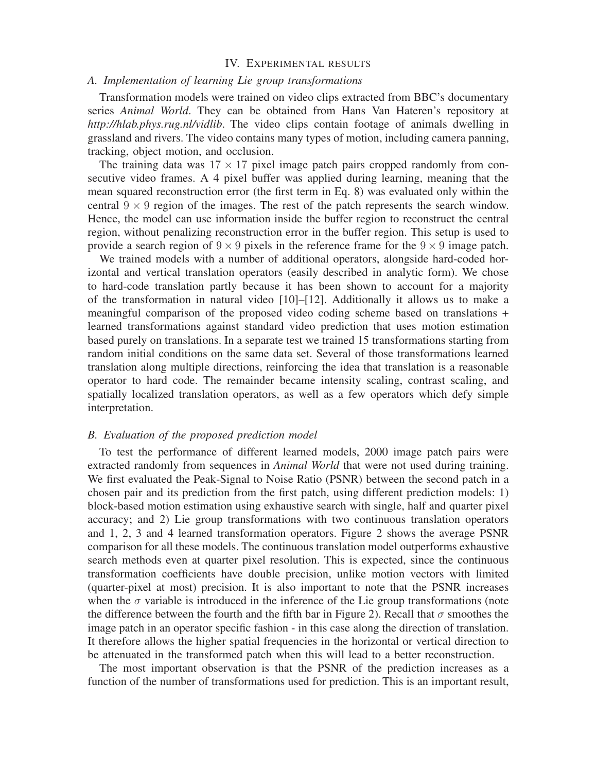## IV. EXPERIMENTAL RESULTS

# *A. Implementation of learning Lie group transformations*

Transformation models were trained on video clips extracted from BBC's documentary series *Animal World*. They can be obtained from Hans Van Hateren's repository at *http://hlab.phys.rug.nl/vidlib*. The video clips contain footage of animals dwelling in grassland and rivers. The video contains many types of motion, including camera panning, tracking, object motion, and occlusion.

The training data was  $17 \times 17$  pixel image patch pairs cropped randomly from consecutive video frames. A 4 pixel buffer was applied during learning, meaning that the mean squared reconstruction error (the first term in Eq. 8) was evaluated only within the central  $9 \times 9$  region of the images. The rest of the patch represents the search window. Hence, the model can use information inside the buffer region to reconstruct the central region, without penalizing reconstruction error in the buffer region. This setup is used to provide a search region of  $9 \times 9$  pixels in the reference frame for the  $9 \times 9$  image patch.

We trained models with a number of additional operators, alongside hard-coded horizontal and vertical translation operators (easily described in analytic form). We chose to hard-code translation partly because it has been shown to account for a majority of the transformation in natural video [10]–[12]. Additionally it allows us to make a meaningful comparison of the proposed video coding scheme based on translations + learned transformations against standard video prediction that uses motion estimation based purely on translations. In a separate test we trained 15 transformations starting from random initial conditions on the same data set. Several of those transformations learned translation along multiple directions, reinforcing the idea that translation is a reasonable operator to hard code. The remainder became intensity scaling, contrast scaling, and spatially localized translation operators, as well as a few operators which defy simple interpretation.

## *B. Evaluation of the proposed prediction model*

To test the performance of different learned models, 2000 image patch pairs were extracted randomly from sequences in *Animal World* that were not used during training. We first evaluated the Peak-Signal to Noise Ratio (PSNR) between the second patch in a chosen pair and its prediction from the first patch, using different prediction models: 1) block-based motion estimation using exhaustive search with single, half and quarter pixel accuracy; and 2) Lie group transformations with two continuous translation operators and 1, 2, 3 and 4 learned transformation operators. Figure 2 shows the average PSNR comparison for all these models. The continuous translation model outperforms exhaustive search methods even at quarter pixel resolution. This is expected, since the continuous transformation coefficients have double precision, unlike motion vectors with limited (quarter-pixel at most) precision. It is also important to note that the PSNR increases when the  $\sigma$  variable is introduced in the inference of the Lie group transformations (note the difference between the fourth and the fifth bar in Figure 2). Recall that  $\sigma$  smoothes the image patch in an operator specific fashion - in this case along the direction of translation. It therefore allows the higher spatial frequencies in the horizontal or vertical direction to be attenuated in the transformed patch when this will lead to a better reconstruction.

The most important observation is that the PSNR of the prediction increases as a function of the number of transformations used for prediction. This is an important result,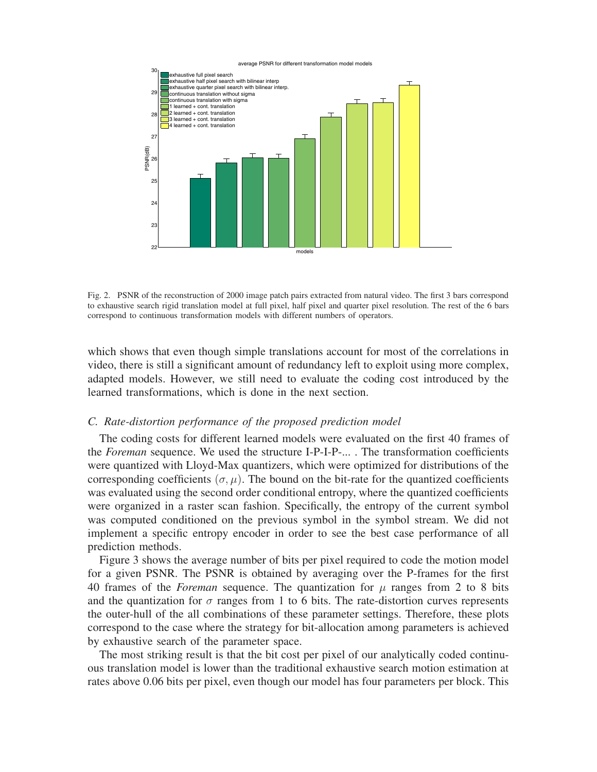

Fig. 2. PSNR of the reconstruction of 2000 image patch pairs extracted from natural video. The first 3 bars correspond to exhaustive search rigid translation model at full pixel, half pixel and quarter pixel resolution. The rest of the 6 bars correspond to continuous transformation models with different numbers of operators.

which shows that even though simple translations account for most of the correlations in video, there is still a significant amount of redundancy left to exploit using more complex, adapted models. However, we still need to evaluate the coding cost introduced by the learned transformations, which is done in the next section.

### *C. Rate-distortion performance of the proposed prediction model*

The coding costs for different learned models were evaluated on the first 40 frames of the *Foreman* sequence. We used the structure I-P-I-P-... . The transformation coefficients were quantized with Lloyd-Max quantizers, which were optimized for distributions of the corresponding coefficients  $(\sigma, \mu)$ . The bound on the bit-rate for the quantized coefficients was evaluated using the second order conditional entropy, where the quantized coefficients were organized in a raster scan fashion. Specifically, the entropy of the current symbol was computed conditioned on the previous symbol in the symbol stream. We did not implement a specific entropy encoder in order to see the best case performance of all prediction methods.

Figure 3 shows the average number of bits per pixel required to code the motion model for a given PSNR. The PSNR is obtained by averaging over the P-frames for the first 40 frames of the *Foreman* sequence. The quantization for  $\mu$  ranges from 2 to 8 bits and the quantization for  $\sigma$  ranges from 1 to 6 bits. The rate-distortion curves represents the outer-hull of the all combinations of these parameter settings. Therefore, these plots correspond to the case where the strategy for bit-allocation among parameters is achieved by exhaustive search of the parameter space.

The most striking result is that the bit cost per pixel of our analytically coded continuous translation model is lower than the traditional exhaustive search motion estimation at rates above 0.06 bits per pixel, even though our model has four parameters per block. This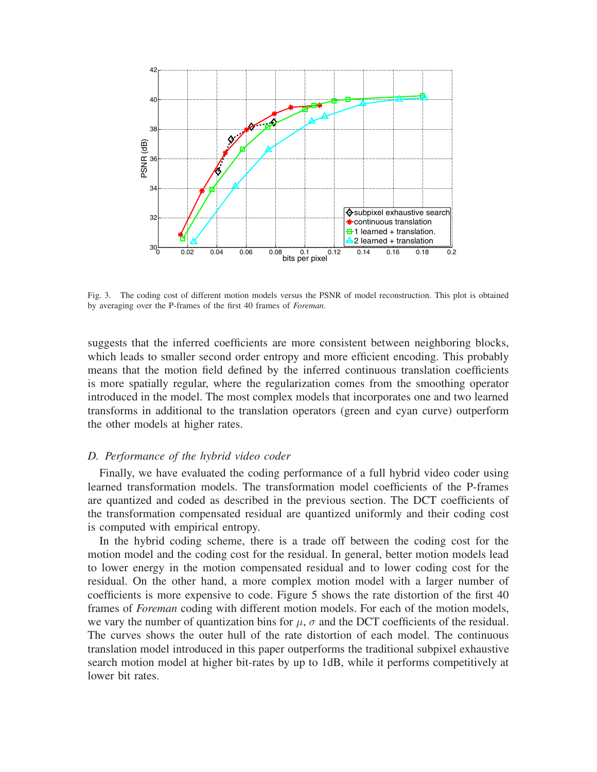

Fig. 3. The coding cost of different motion models versus the PSNR of model reconstruction. This plot is obtained by averaging over the P-frames of the first 40 frames of *Foreman*.

suggests that the inferred coefficients are more consistent between neighboring blocks, which leads to smaller second order entropy and more efficient encoding. This probably means that the motion field defined by the inferred continuous translation coefficients is more spatially regular, where the regularization comes from the smoothing operator introduced in the model. The most complex models that incorporates one and two learned transforms in additional to the translation operators (green and cyan curve) outperform the other models at higher rates.

### *D. Performance of the hybrid video coder*

Finally, we have evaluated the coding performance of a full hybrid video coder using learned transformation models. The transformation model coefficients of the P-frames are quantized and coded as described in the previous section. The DCT coefficients of the transformation compensated residual are quantized uniformly and their coding cost is computed with empirical entropy.

In the hybrid coding scheme, there is a trade off between the coding cost for the motion model and the coding cost for the residual. In general, better motion models lead to lower energy in the motion compensated residual and to lower coding cost for the residual. On the other hand, a more complex motion model with a larger number of coefficients is more expensive to code. Figure 5 shows the rate distortion of the first 40 frames of *Foreman* coding with different motion models. For each of the motion models, we vary the number of quantization bins for  $\mu$ ,  $\sigma$  and the DCT coefficients of the residual. The curves shows the outer hull of the rate distortion of each model. The continuous translation model introduced in this paper outperforms the traditional subpixel exhaustive search motion model at higher bit-rates by up to 1dB, while it performs competitively at lower bit rates.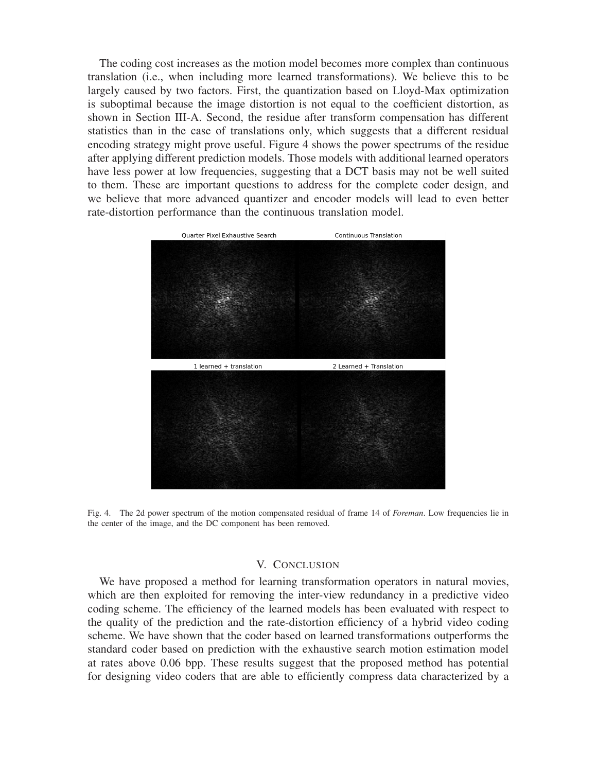The coding cost increases as the motion model becomes more complex than continuous translation (i.e., when including more learned transformations). We believe this to be largely caused by two factors. First, the quantization based on Lloyd-Max optimization is suboptimal because the image distortion is not equal to the coefficient distortion, as shown in Section III-A. Second, the residue after transform compensation has different statistics than in the case of translations only, which suggests that a different residual encoding strategy might prove useful. Figure 4 shows the power spectrums of the residue after applying different prediction models. Those models with additional learned operators have less power at low frequencies, suggesting that a DCT basis may not be well suited to them. These are important questions to address for the complete coder design, and we believe that more advanced quantizer and encoder models will lead to even better rate-distortion performance than the continuous translation model.



Fig. 4. The 2d power spectrum of the motion compensated residual of frame 14 of *Foreman*. Low frequencies lie in the center of the image, and the DC component has been removed.

## V. CONCLUSION

We have proposed a method for learning transformation operators in natural movies, which are then exploited for removing the inter-view redundancy in a predictive video coding scheme. The efficiency of the learned models has been evaluated with respect to the quality of the prediction and the rate-distortion efficiency of a hybrid video coding scheme. We have shown that the coder based on learned transformations outperforms the standard coder based on prediction with the exhaustive search motion estimation model at rates above 0.06 bpp. These results suggest that the proposed method has potential for designing video coders that are able to efficiently compress data characterized by a